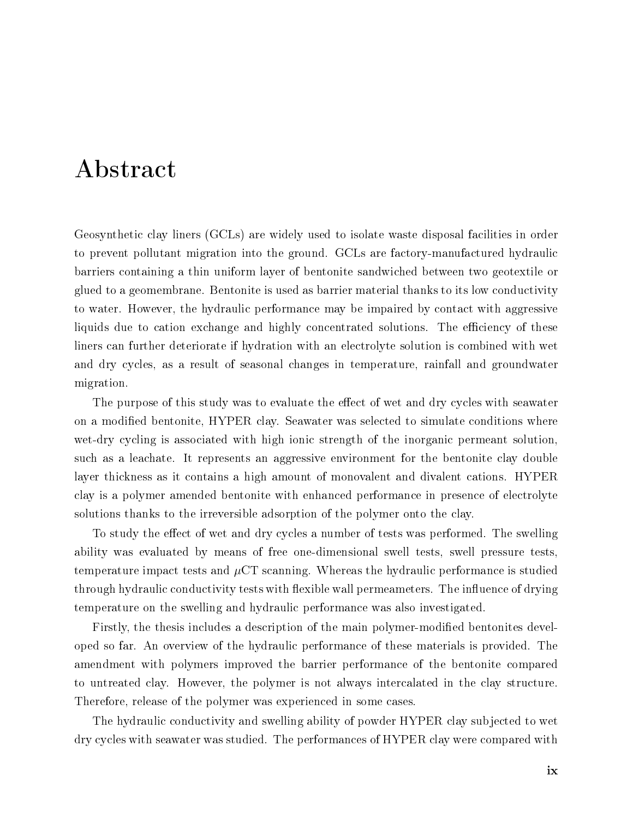## Abstract

Geosynthetic clay liners (GCLs) are widely used to isolate waste disposal facilities in order to prevent pollutant migration into the ground. GCLs are factory-manufactured hydraulic barriers containing a thin uniform layer of bentonite sandwiched between two geotextile or glued to a geomembrane. Bentonite is used as barrier material thanks to its low conductivity to water. However, the hydraulic performance may be impaired by contact with aggressive liquids due to cation exchange and highly concentrated solutions. The efficiency of these liners can further deteriorate if hydration with an electrolyte solution is combined with wet and dry cycles, as a result of seasonal changes in temperature, rainfall and groundwater migration.

The purpose of this study was to evaluate the effect of wet and dry cycles with seawater on a modified bentonite, HYPER clay. Seawater was selected to simulate conditions where wet-dry cycling is associated with high ionic strength of the inorganic permeant solution, such as a leachate. It represents an aggressive environment for the bentonite clay double layer thickness as it contains a high amount of monovalent and divalent cations. HYPER clay is a polymer amended bentonite with enhanced performance in presence of electrolyte solutions thanks to the irreversible adsorption of the polymer onto the clay.

To study the effect of wet and dry cycles a number of tests was performed. The swelling ability was evaluated by means of free one-dimensional swell tests, swell pressure tests, temperature impact tests and  $\mu$ CT scanning. Whereas the hydraulic performance is studied through hydraulic conductivity tests with flexible wall permeameters. The influence of drying temperature on the swelling and hydraulic performance was also investigated.

Firstly, the thesis includes a description of the main polymer-modified bentonites developed so far. An overview of the hydraulic performance of these materials is provided. The amendment with polymers improved the barrier performance of the bentonite compared to untreated clay. However, the polymer is not always intercalated in the clay structure. Therefore, release of the polymer was experienced in some cases.

The hydraulic conductivity and swelling ability of powder HYPER clay subjected to wet dry cycles with seawater was studied. The performances of HYPER clay were compared with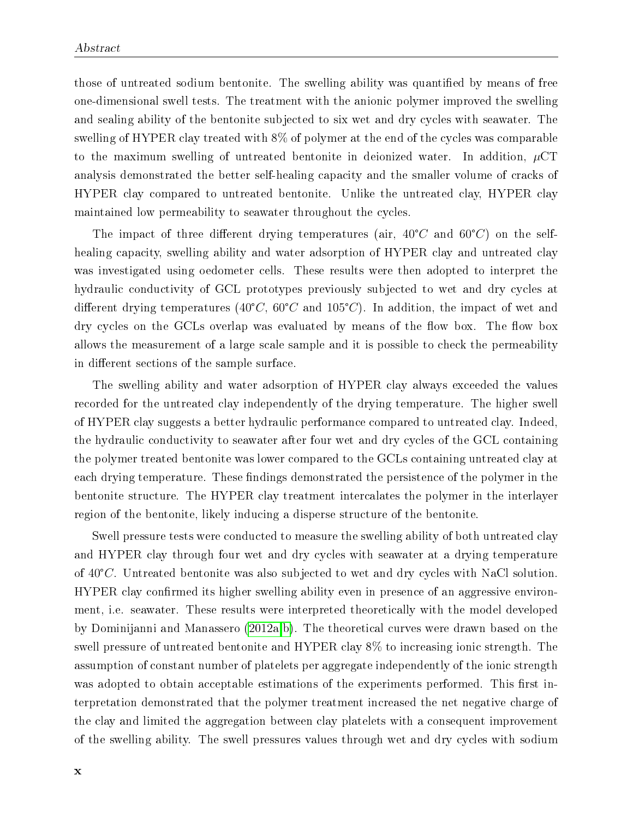those of untreated sodium bentonite. The swelling ability was quantified by means of free one-dimensional swell tests. The treatment with the anionic polymer improved the swelling and sealing ability of the bentonite subjected to six wet and dry cycles with seawater. The swelling of HYPER clay treated with 8% of polymer at the end of the cycles was comparable to the maximum swelling of untreated bentonite in deionized water. In addition,  $\mu$ CT analysis demonstrated the better self-healing capacity and the smaller volume of cracks of HYPER clay compared to untreated bentonite. Unlike the untreated clay, HYPER clay maintained low permeability to seawater throughout the cycles.

The impact of three different drying temperatures (air,  $40^{\circ}C$  and  $60^{\circ}C$ ) on the selfhealing capacity, swelling ability and water adsorption of HYPER clay and untreated clay was investigated using oedometer cells. These results were then adopted to interpret the hydraulic conductivity of GCL prototypes previously subjected to wet and dry cycles at different drying temperatures (40°C, 60°C and 105°C). In addition, the impact of wet and drying temperatures (40°C, 60°C and 105°C). In addition, the impact of wet and dry cycles on the GCLs overlap was evaluated by means of the flow box. The flow box allows the measurement of a large scale sample and it is possible to check the permeability in different sections of the sample surface.

The swelling ability and water adsorption of HYPER clay always exceeded the values recorded for the untreated clay independently of the drying temperature. The higher swell of HYPER clay suggests a better hydraulic performance compared to untreated clay. Indeed, the hydraulic conductivity to seawater after four wet and dry cycles of the GCL containing the polymer treated bentonite was lower compared to the GCLs containing untreated clay at each drying temperature. These findings demonstrated the persistence of the polymer in the bentonite structure. The HYPER clay treatment intercalates the polymer in the interlayer region of the bentonite, likely inducing a disperse structure of the bentonite.

Swell pressure tests were conducted to measure the swelling ability of both untreated clay and HYPER clay through four wet and dry cycles with seawater at a drying temperature of <sup>40</sup>°C. Untreated bentonite was also subjected to wet and dry cycles with NaCl solution. HYPER clay confirmed its higher swelling ability even in presence of an aggressive environment, i.e. seawater. These results were interpreted theoretically with the model developed by Dominijanni and Manassero (2012a,b). The theoretical curves were drawn based on the swell pressure of untreated bentonite and HYPER clay 8% to increasing ionic strength. The assumption of constant number of platelets per aggregate independently of the ionic strength was adopted to obtain acceptable estimations of the experiments performed. This first interpretation demonstrated that the polymer treatment increased the net negative charge of the clay and limited the aggregation between clay platelets with a consequent improvement of the swelling ability. The swell pressures values through wet and dry cycles with sodium